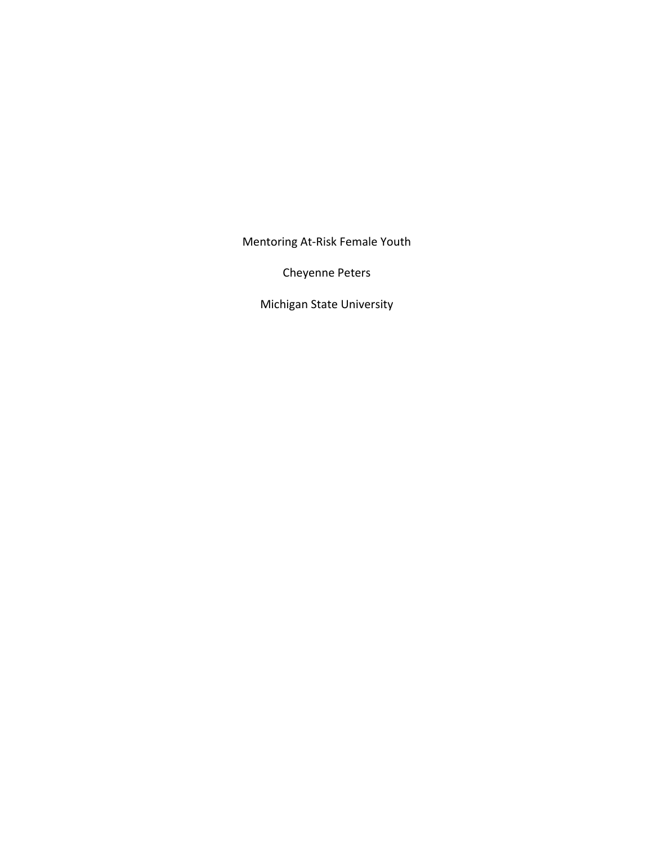Mentoring At-Risk Female Youth

Cheyenne Peters

Michigan State University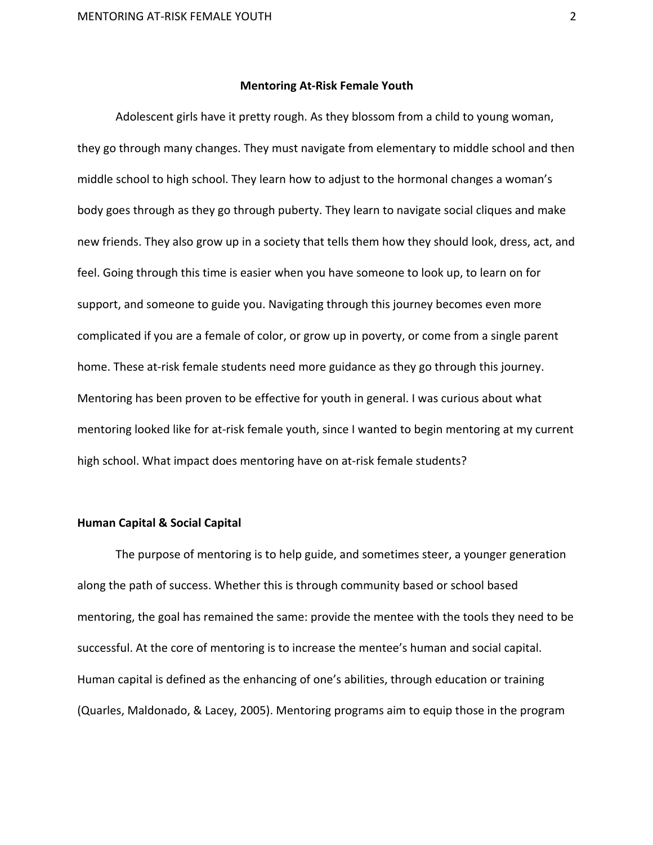### **Mentoring At-Risk Female Youth**

Adolescent girls have it pretty rough. As they blossom from a child to young woman, they go through many changes. They must navigate from elementary to middle school and then middle school to high school. They learn how to adjust to the hormonal changes a woman's body goes through as they go through puberty. They learn to navigate social cliques and make new friends. They also grow up in a society that tells them how they should look, dress, act, and feel. Going through this time is easier when you have someone to look up, to learn on for support, and someone to guide you. Navigating through this journey becomes even more complicated if you are a female of color, or grow up in poverty, or come from a single parent home. These at-risk female students need more guidance as they go through this journey. Mentoring has been proven to be effective for youth in general. I was curious about what mentoring looked like for at-risk female youth, since I wanted to begin mentoring at my current high school. What impact does mentoring have on at-risk female students?

# **Human Capital & Social Capital**

The purpose of mentoring is to help guide, and sometimes steer, a younger generation along the path of success. Whether this is through community based or school based mentoring, the goal has remained the same: provide the mentee with the tools they need to be successful. At the core of mentoring is to increase the mentee's human and social capital. Human capital is defined as the enhancing of one's abilities, through education or training (Quarles, Maldonado, & Lacey, 2005). Mentoring programs aim to equip those in the program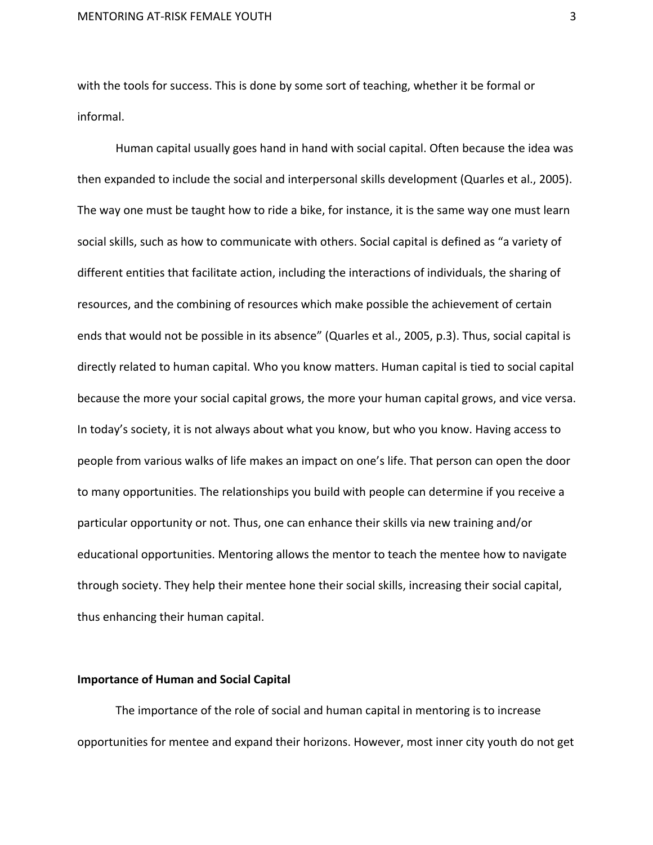with the tools for success. This is done by some sort of teaching, whether it be formal or informal.

Human capital usually goes hand in hand with social capital. Often because the idea was then expanded to include the social and interpersonal skills development (Quarles et al., 2005). The way one must be taught how to ride a bike, for instance, it is the same way one must learn social skills, such as how to communicate with others. Social capital is defined as "a variety of different entities that facilitate action, including the interactions of individuals, the sharing of resources, and the combining of resources which make possible the achievement of certain ends that would not be possible in its absence" (Quarles et al., 2005, p.3). Thus, social capital is directly related to human capital. Who you know matters. Human capital is tied to social capital because the more your social capital grows, the more your human capital grows, and vice versa. In today's society, it is not always about what you know, but who you know. Having access to people from various walks of life makes an impact on one's life. That person can open the door to many opportunities. The relationships you build with people can determine if you receive a particular opportunity or not. Thus, one can enhance their skills via new training and/or educational opportunities. Mentoring allows the mentor to teach the mentee how to navigate through society. They help their mentee hone their social skills, increasing their social capital, thus enhancing their human capital.

#### **Importance of Human and Social Capital**

The importance of the role of social and human capital in mentoring is to increase opportunities for mentee and expand their horizons. However, most inner city youth do not get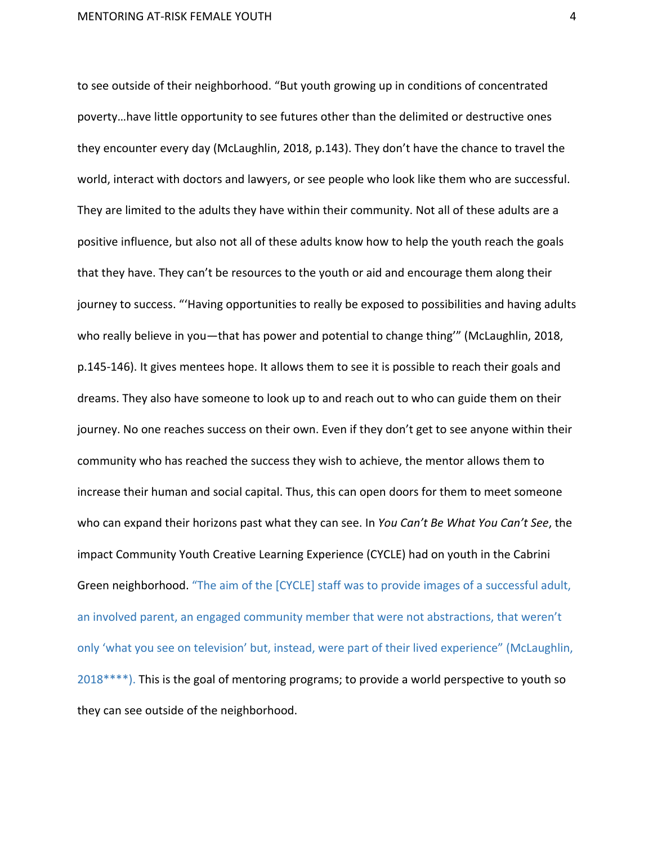to see outside of their neighborhood. "But youth growing up in conditions of concentrated poverty...have little opportunity to see futures other than the delimited or destructive ones they encounter every day (McLaughlin, 2018, p.143). They don't have the chance to travel the world, interact with doctors and lawyers, or see people who look like them who are successful. They are limited to the adults they have within their community. Not all of these adults are a positive influence, but also not all of these adults know how to help the youth reach the goals that they have. They can't be resources to the youth or aid and encourage them along their journey to success. "'Having opportunities to really be exposed to possibilities and having adults who really believe in you-that has power and potential to change thing" (McLaughlin, 2018, p.145-146). It gives mentees hope. It allows them to see it is possible to reach their goals and dreams. They also have someone to look up to and reach out to who can guide them on their journey. No one reaches success on their own. Even if they don't get to see anyone within their community who has reached the success they wish to achieve, the mentor allows them to increase their human and social capital. Thus, this can open doors for them to meet someone who can expand their horizons past what they can see. In *You Can't Be What You Can't See*, the impact Community Youth Creative Learning Experience (CYCLE) had on youth in the Cabrini Green neighborhood. "The aim of the [CYCLE] staff was to provide images of a successful adult, an involved parent, an engaged community member that were not abstractions, that weren't only 'what you see on television' but, instead, were part of their lived experience" (McLaughlin,  $2018***$ ). This is the goal of mentoring programs; to provide a world perspective to youth so they can see outside of the neighborhood.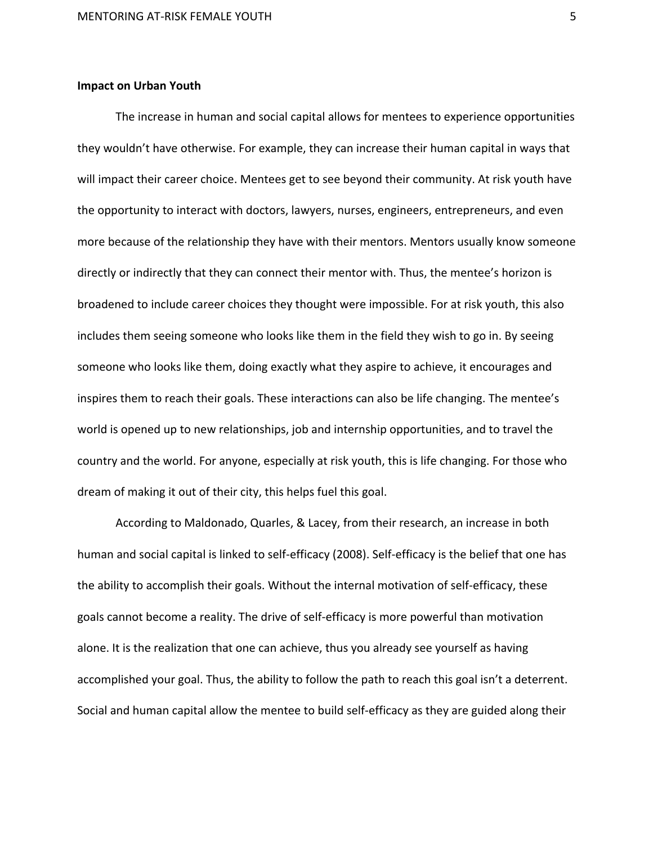# **Impact on Urban Youth**

The increase in human and social capital allows for mentees to experience opportunities they wouldn't have otherwise. For example, they can increase their human capital in ways that will impact their career choice. Mentees get to see beyond their community. At risk youth have the opportunity to interact with doctors, lawyers, nurses, engineers, entrepreneurs, and even more because of the relationship they have with their mentors. Mentors usually know someone directly or indirectly that they can connect their mentor with. Thus, the mentee's horizon is broadened to include career choices they thought were impossible. For at risk youth, this also includes them seeing someone who looks like them in the field they wish to go in. By seeing someone who looks like them, doing exactly what they aspire to achieve, it encourages and inspires them to reach their goals. These interactions can also be life changing. The mentee's world is opened up to new relationships, job and internship opportunities, and to travel the country and the world. For anyone, especially at risk youth, this is life changing. For those who dream of making it out of their city, this helps fuel this goal.

According to Maldonado, Quarles, & Lacey, from their research, an increase in both human and social capital is linked to self-efficacy (2008). Self-efficacy is the belief that one has the ability to accomplish their goals. Without the internal motivation of self-efficacy, these goals cannot become a reality. The drive of self-efficacy is more powerful than motivation alone. It is the realization that one can achieve, thus you already see yourself as having accomplished your goal. Thus, the ability to follow the path to reach this goal isn't a deterrent. Social and human capital allow the mentee to build self-efficacy as they are guided along their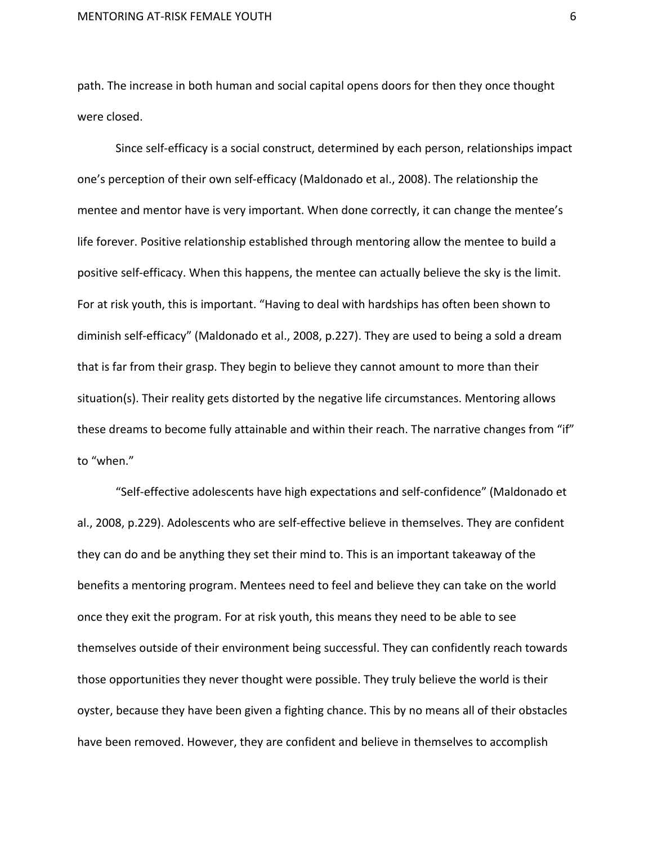path. The increase in both human and social capital opens doors for then they once thought were closed.

Since self-efficacy is a social construct, determined by each person, relationships impact one's perception of their own self-efficacy (Maldonado et al., 2008). The relationship the mentee and mentor have is very important. When done correctly, it can change the mentee's life forever. Positive relationship established through mentoring allow the mentee to build a positive self-efficacy. When this happens, the mentee can actually believe the sky is the limit. For at risk youth, this is important. "Having to deal with hardships has often been shown to diminish self-efficacy" (Maldonado et al., 2008, p.227). They are used to being a sold a dream that is far from their grasp. They begin to believe they cannot amount to more than their situation(s). Their reality gets distorted by the negative life circumstances. Mentoring allows these dreams to become fully attainable and within their reach. The narrative changes from "if" to "when."

"Self-effective adolescents have high expectations and self-confidence" (Maldonado et al., 2008, p.229). Adolescents who are self-effective believe in themselves. They are confident they can do and be anything they set their mind to. This is an important takeaway of the benefits a mentoring program. Mentees need to feel and believe they can take on the world once they exit the program. For at risk youth, this means they need to be able to see themselves outside of their environment being successful. They can confidently reach towards those opportunities they never thought were possible. They truly believe the world is their oyster, because they have been given a fighting chance. This by no means all of their obstacles have been removed. However, they are confident and believe in themselves to accomplish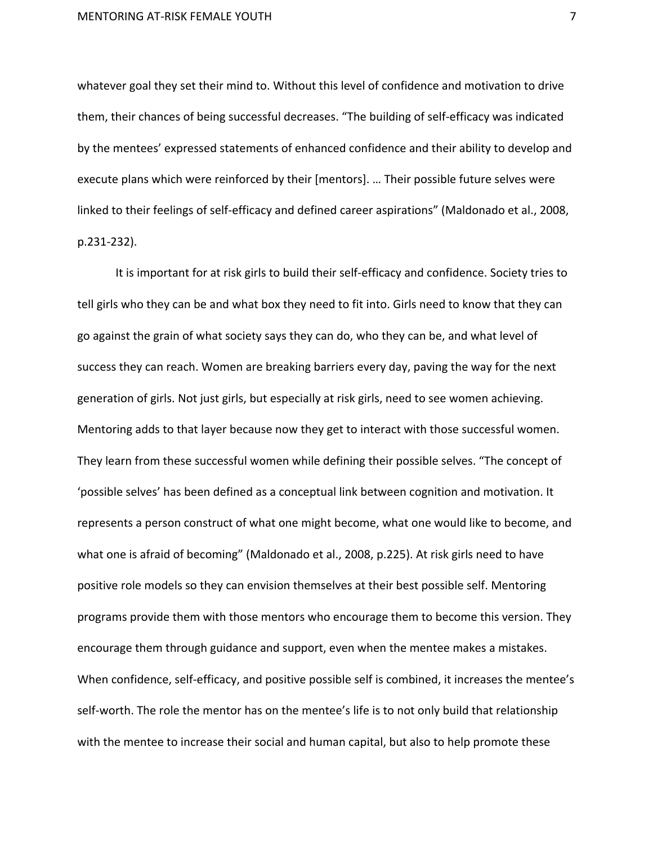whatever goal they set their mind to. Without this level of confidence and motivation to drive them, their chances of being successful decreases. "The building of self-efficacy was indicated by the mentees' expressed statements of enhanced confidence and their ability to develop and execute plans which were reinforced by their [mentors]. ... Their possible future selves were linked to their feelings of self-efficacy and defined career aspirations" (Maldonado et al., 2008, p.231-232). 

It is important for at risk girls to build their self-efficacy and confidence. Society tries to tell girls who they can be and what box they need to fit into. Girls need to know that they can go against the grain of what society says they can do, who they can be, and what level of success they can reach. Women are breaking barriers every day, paving the way for the next generation of girls. Not just girls, but especially at risk girls, need to see women achieving. Mentoring adds to that layer because now they get to interact with those successful women. They learn from these successful women while defining their possible selves. "The concept of 'possible selves' has been defined as a conceptual link between cognition and motivation. It represents a person construct of what one might become, what one would like to become, and what one is afraid of becoming" (Maldonado et al., 2008, p.225). At risk girls need to have positive role models so they can envision themselves at their best possible self. Mentoring programs provide them with those mentors who encourage them to become this version. They encourage them through guidance and support, even when the mentee makes a mistakes. When confidence, self-efficacy, and positive possible self is combined, it increases the mentee's self-worth. The role the mentor has on the mentee's life is to not only build that relationship with the mentee to increase their social and human capital, but also to help promote these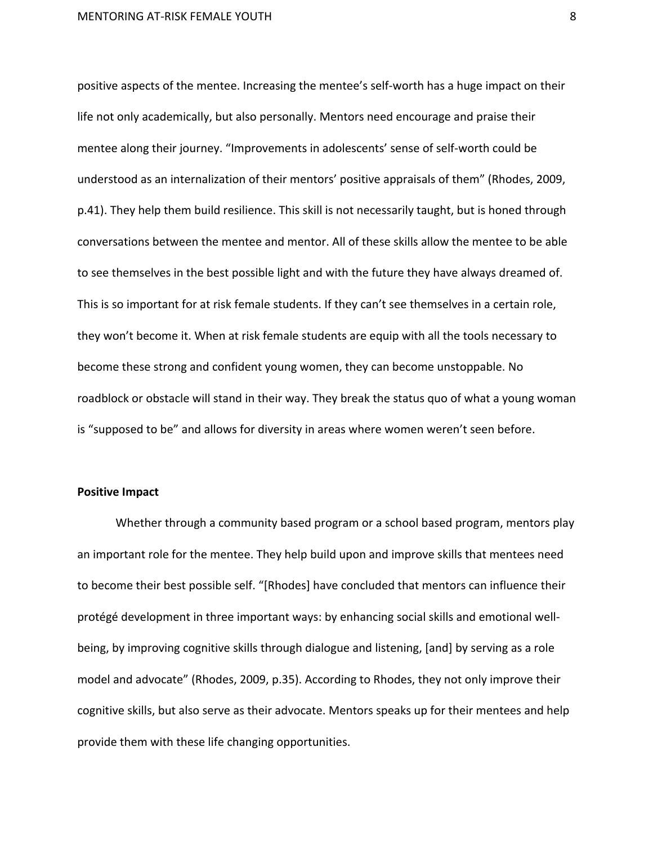positive aspects of the mentee. Increasing the mentee's self-worth has a huge impact on their life not only academically, but also personally. Mentors need encourage and praise their mentee along their journey. "Improvements in adolescents' sense of self-worth could be understood as an internalization of their mentors' positive appraisals of them" (Rhodes, 2009, p.41). They help them build resilience. This skill is not necessarily taught, but is honed through conversations between the mentee and mentor. All of these skills allow the mentee to be able to see themselves in the best possible light and with the future they have always dreamed of. This is so important for at risk female students. If they can't see themselves in a certain role, they won't become it. When at risk female students are equip with all the tools necessary to become these strong and confident young women, they can become unstoppable. No roadblock or obstacle will stand in their way. They break the status quo of what a young woman is "supposed to be" and allows for diversity in areas where women weren't seen before.

# **Positive Impact**

Whether through a community based program or a school based program, mentors play an important role for the mentee. They help build upon and improve skills that mentees need to become their best possible self. "[Rhodes] have concluded that mentors can influence their protégé development in three important ways: by enhancing social skills and emotional wellbeing, by improving cognitive skills through dialogue and listening, [and] by serving as a role model and advocate" (Rhodes, 2009, p.35). According to Rhodes, they not only improve their cognitive skills, but also serve as their advocate. Mentors speaks up for their mentees and help provide them with these life changing opportunities.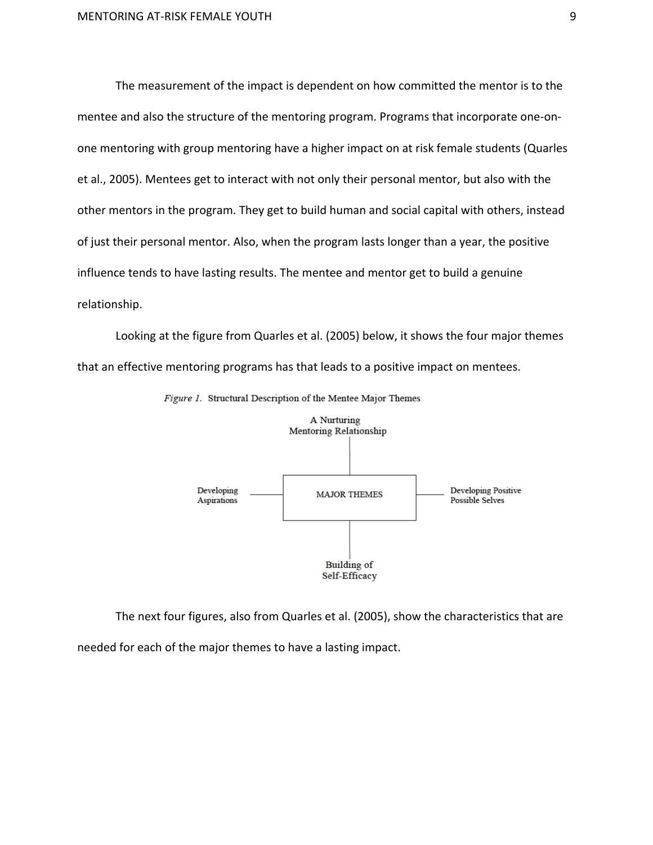The measurement of the impact is dependent on how committed the mentor is to the mentee and also the structure of the mentoring program. Programs that incorporate one-onone mentoring with group mentoring have a higher impact on at risk female students (Quarles et al., 2005). Mentees get to interact with not only their personal mentor, but also with the other mentors in the program. They get to build human and social capital with others, instead of just their personal mentor. Also, when the program lasts longer than a year, the positive influence tends to have lasting results. The mentee and mentor get to build a genuine relationship. 

Looking at the figure from Quarles et al. (2005) below, it shows the four major themes that an effective mentoring programs has that leads to a positive impact on mentees.



Figure 1. Structural Description of the Mentee Major Themes

The next four figures, also from Quarles et al. (2005), show the characteristics that are needed for each of the major themes to have a lasting impact.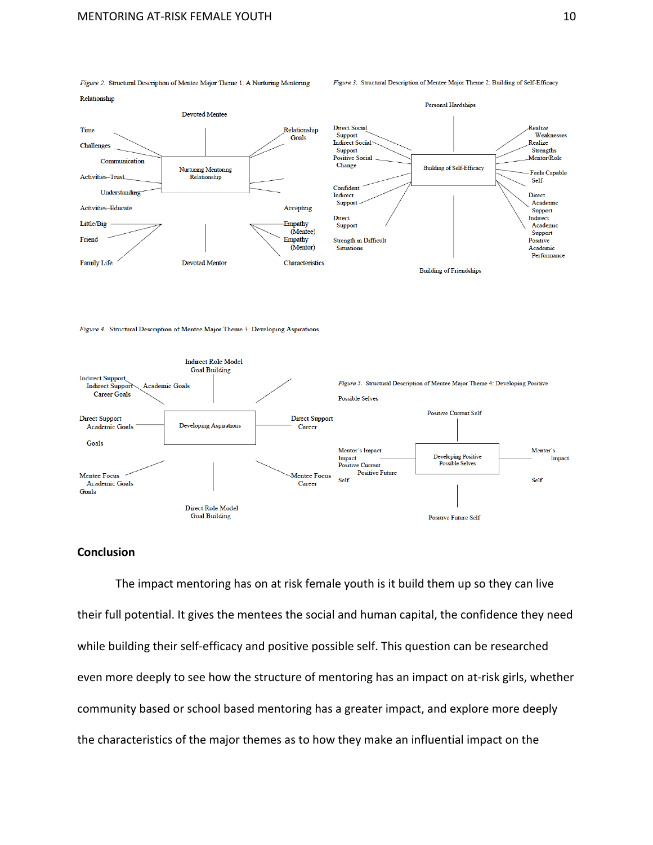

Figure 2. Structural Description of Mentee Major Theme 1: A Nurturing Mentoring

#### Figure 3. Structural Description of Mentee Major Theme 2: Building of Self-Efficacy

Figure 4. Structural Description of Mentee Major Theme 3: Developing Aspirations



# **Conclusion**

The impact mentoring has on at risk female youth is it build them up so they can live their full potential. It gives the mentees the social and human capital, the confidence they need while building their self-efficacy and positive possible self. This question can be researched even more deeply to see how the structure of mentoring has an impact on at-risk girls, whether community based or school based mentoring has a greater impact, and explore more deeply the characteristics of the major themes as to how they make an influential impact on the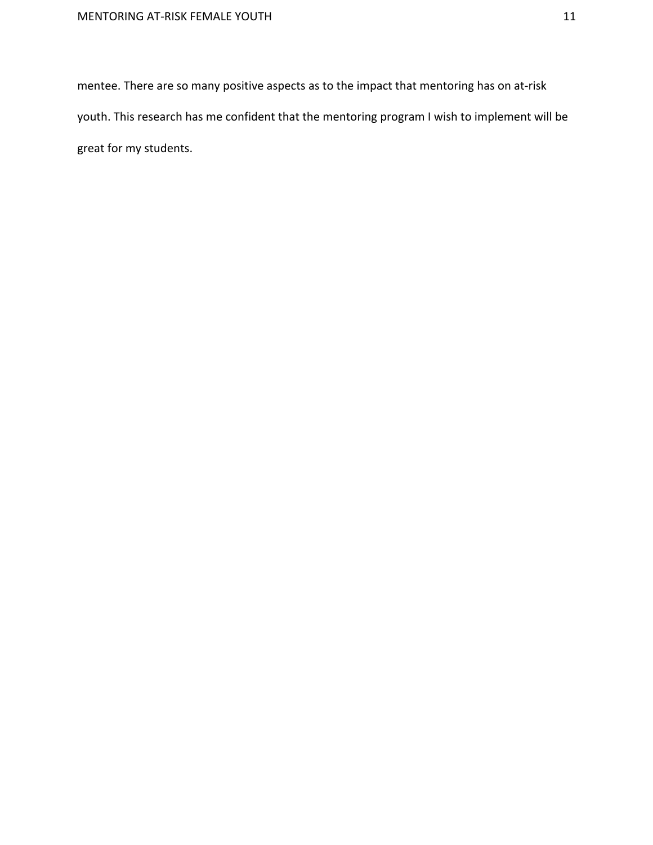mentee. There are so many positive aspects as to the impact that mentoring has on at-risk youth. This research has me confident that the mentoring program I wish to implement will be great for my students.